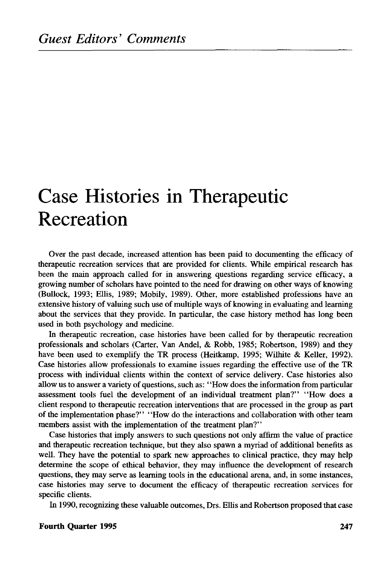## Case Histories in Therapeutic Recreation

Over the past decade, increased attention has been paid to documenting the efficacy of therapeutic recreation services that are provided for clients. While empirical research has been the main approach called for in answering questions regarding service efficacy, a growing number of scholars have pointed to the need for drawing on other ways of knowing (Bullock, 1993; Ellis, 1989; Mobily, 1989). Other, more established professions have an extensive history of valuing such use of multiple ways of knowing in evaluating and learning about the services that they provide. In particular, the case history method has long been used in both psychology and medicine.

In therapeutic recreation, case histories have been called for by therapeutic recreation professionals and scholars (Carter, Van Andel, & Robb, 1985; Robertson, 1989) and they have been used to exemplify the TR process (Heitkamp, 1995; Wilhite & Keller, 1992). Case histories allow professionals to examine issues regarding the effective use of the TR process with individual clients within the context of service delivery. Case histories also allow us to answer a variety of questions, such as:' 'How does the information from particular assessment tools fuel the development of an individual treatment plan?" "How does a client respond to therapeutic recreation interventions that are processed in the group as part of the implementation phase?" "How do the interactions and collaboration with other team members assist with the implementation of the treatment plan?''

Case histories that imply answers to such questions not only affirm the value of practice and therapeutic recreation technique, but they also spawn a myriad of additional benefits as well. They have the potential to spark new approaches to clinical practice, they may help determine the scope of ethical behavior, they may influence the development of research questions, they may serve as learning tools in the educational arena, and, in some instances, case histories may serve to document the efficacy of therapeutic recreation services for specific clients.

In 1990, recognizing these valuable outcomes, Drs. Ellis and Robertson proposed that case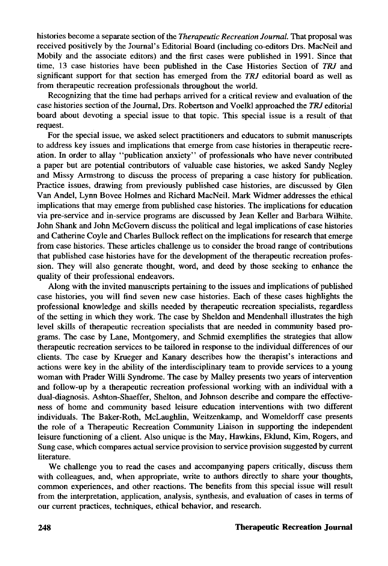histories become a separate section of the *Therapeutic Recreation Journal.* That proposal was received positively by the Journal's Editorial Board (including co-editors Drs. MacNeil and Mobily and the associate editors) and the first cases were published in 1991. Since that time, 13 case histories have been published in the Case Histories Section of *TRJ* and significant support for that section has emerged from the *TRJ* editorial board as well as from therapeutic recreation professionals throughout the world.

Recognizing that the time had perhaps arrived for a critical review and evaluation of the case histories section of the Journal, Drs. Robertson and Voelkl approached the *TRJ* editorial board about devoting a special issue to that topic. This special issue is a result of that request.

For the special issue, we asked select practitioners and educators to submit manuscripts to address key issues and implications that emerge from case histories in therapeutic recreation. In order to allay "publication anxiety" of professionals who have never contributed a paper but are potential contributors of valuable case histories, we asked Sandy Negley and Missy Armstrong to discuss the process of preparing a case history for publication. Practice issues, drawing from previously published case histories, are discussed by Glen Van Andel, Lynn Bovee Holmes and Richard MacNeil. Mark Widmer addresses the ethical implications that may emerge from published case histories. The implications for education via pre-service and in-service programs are discussed by Jean Keller and Barbara Wilhite. John Shank and John McGovern discuss the political and legal implications of case histories and Catherine Coyle and Charles Bullock reflect on the implications for research that emerge from case histories. These articles challenge us to consider the broad range of contributions that published case histories have for the development of the therapeutic recreation profession. They will also generate thought, word, and deed by those seeking to enhance the quality of their professional endeavors.

Along with the invited manuscripts pertaining to the issues and implications of published case histories, you will find seven new case histories. Each of these cases highlights the professional knowledge and skills needed by therapeutic recreation specialists, regardless of the setting in which they work. The case by Sheldon and Mendenhall illustrates the high level skills of therapeutic recreation specialists that are needed in community based programs. The case by Lane, Montgomery, and Schmid exemplifies the strategies that allow therapeutic recreation services to be tailored in response to the individual differences of our clients. The case by Krueger and Kanary describes how the therapist's interactions and actions were key in the ability of the interdisciplinary team to provide services to a young woman with Prader Willi Syndrome. The case by Malley presents two years of intervention and follow-up by a therapeutic recreation professional working with an individual with a dual-diagnosis. Ashton-Shaeffer, Shelton, and Johnson describe and compare the effectiveness of home and community based leisure education interventions with two different individuals. The Baker-Roth, McLaughlin, Weitzenkamp, and Womeldorff case presents the role of a Therapeutic Recreation Community Liaison in supporting the independent leisure functioning of a client. Also unique is the May, Hawkins, Eklund, Kim, Rogers, and Sung case, which Compares actual service provision to service provision suggested by current literature.

We challenge you to read the cases and accompanying papers critically, discuss them with colleagues, and, when appropriate, write to authors directly to share your thoughts, common experiences, and other reactions. The benefits from this special issue will result from the interpretation, application, analysis, synthesis, and evaluation of cases in terms of our current practices, techniques, ethical behavior, and research.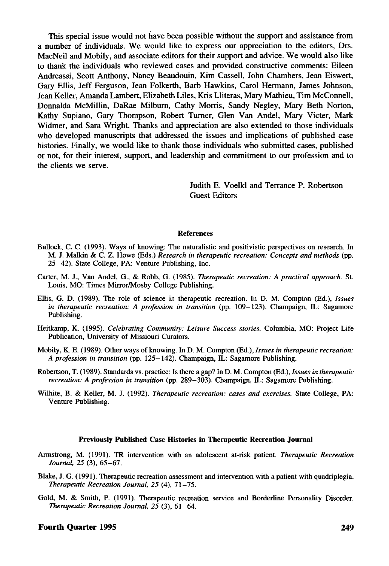This special issue would not have been possible without the support and assistance from a number of individuals. We would like to express our appreciation to the editors, Drs. MacNeil and Mobily, and associate editors for their support and advice. We would also like to thank the individuals who reviewed cases and provided constructive comments: Eileen Andreassi, Scott Anthony, Nancy Beaudouin, Kim Cassell, John Chambers, Jean Eiswert, Gary Ellis, Jeff Ferguson, Jean Folkerth, Barb Hawkins, Carol Hermann, James Johnson, Jean Keller, Amanda Lambert, Elizabeth Liles, Kris Lliteras, Mary Mathieu, Tim McConnell, Donnalda McMillin, DaRae Milburn, Cathy Morris, Sandy Negley, Mary Beth Norton, Kathy Supiano, Gary Thompson, Robert Turner, Glen Van Andel, Mary Victer, Mark Widmer, and Sara Wright. Thanks and appreciation are also extended to those individuals who developed manuscripts that addressed the issues and implications of published case histories. Finally, we would like to thank those individuals who submitted cases, published or not, for their interest, support, and leadership and commitment to our profession and to the clients we serve.

> Judith E. Voelkl and Terrance P. Robertson Guest Editors

## **References**

- Bullock, C. C. (1993). Ways of knowing: The naturalistic and positivistic perspectives on research. In M. J. Malkin & C. Z. Howe (Eds.) *Research in therapeutic recreation: Concepts and methods* (pp. 25-42). State College, PA: Venture Publishing, Inc.
- Carter, M. J., Van Andel, G., & Robb, G. (1985). *Therapeutic recreation: A practical approach.* St. Louis, MO: Times Mirror/Mosby College Publishing.
- Ellis, G. D. (1989). The role of science in therapeutic recreation. In D. M. Compton (Ed.), *Issues in therapeutic recreation: A profession in transition* (pp. 109—123). Champaign, IL: Sagamore Publishing.
- Heitkamp, K. (1995). *Celebrating Community: Leisure Success stories.* Columbia, MO: Project Life Publication, University of Missiouri Curators.
- Mobily, K. E. (1989). Other ways of knowing. In D. M. Compton (Ed.), *Issues in therapeutic recreation: A profession in transition* (pp. 125-142). Champaign, IL: Sagamore Publishing.
- Robertson, T. (1989). Standards vs. practice: Is there a gap? In D. M. Compton (Ed.), *Issues in therapeutic recreation: A profession in transition* (pp. 289-303). Champaign, IL: Sagamore Publishing.
- Wilhite, B. & Keller, M. J. (1992). *Therapeutic recreation: cases and exercises.* State College, PA: Venture Publishing.

## **Previously Published Case Histories in Therapeutic Recreation Journal**

- Armstrong, M. (1991). TR intervention with an adolescent at-risk patient. *Therapeutic Recreation Journal, 25* (3), 65-67.
- Blake, J. G. (1991). Therapeutic recreation assessment and intervention with a patient with quadriplegia. *Therapeutic Recreation Journal, 25* (4), 71-75.
- Gold, M. & Smith, P. (1991). Therapeutic recreation service and Borderline Personality Disorder. *Therapeutic Recreation Journal, 25* (3), 61-64.

## **Fourth Quarter 1995** 249